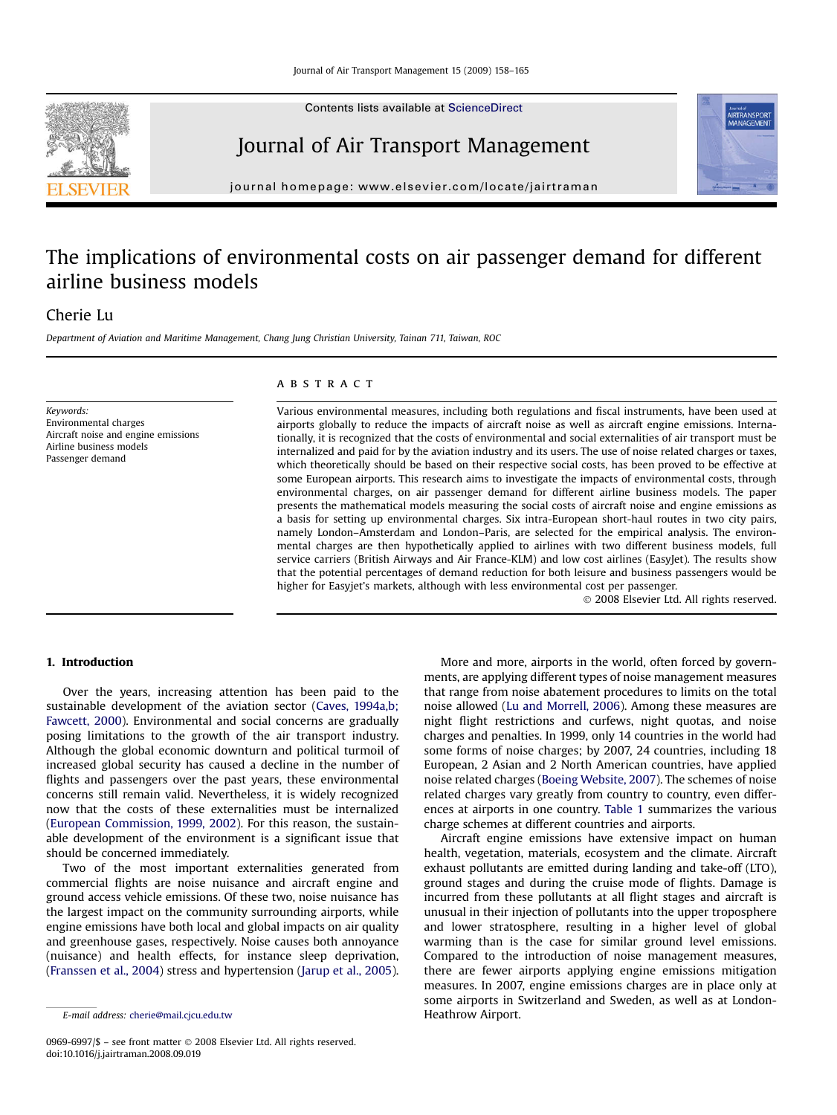Contents lists available at [ScienceDirect](www.sciencedirect.com/science/journal/09696997)

# Journal of Air Transport Management

journal homepage: [www.elsevier.com/locate/jairtraman](http://www.elsevier.com/locate/jairtraman)

# The implications of environmental costs on air passenger demand for different airline business models

# Cherie Lu

Department of Aviation and Maritime Management, Chang Jung Christian University, Tainan 711, Taiwan, ROC

Keywords: Environmental charges Aircraft noise and engine emissions Airline business models Passenger demand

## **ABSTRACT**

Various environmental measures, including both regulations and fiscal instruments, have been used at airports globally to reduce the impacts of aircraft noise as well as aircraft engine emissions. Internationally, it is recognized that the costs of environmental and social externalities of air transport must be internalized and paid for by the aviation industry and its users. The use of noise related charges or taxes, which theoretically should be based on their respective social costs, has been proved to be effective at some European airports. This research aims to investigate the impacts of environmental costs, through environmental charges, on air passenger demand for different airline business models. The paper presents the mathematical models measuring the social costs of aircraft noise and engine emissions as a basis for setting up environmental charges. Six intra-European short-haul routes in two city pairs, namely London–Amsterdam and London–Paris, are selected for the empirical analysis. The environmental charges are then hypothetically applied to airlines with two different business models, full service carriers (British Airways and Air France-KLM) and low cost airlines (EasyJet). The results show that the potential percentages of demand reduction for both leisure and business passengers would be higher for Easyjet's markets, although with less environmental cost per passenger.

- 2008 Elsevier Ltd. All rights reserved.

## 1. Introduction

Over the years, increasing attention has been paid to the sustainable development of the aviation sector [\(Caves, 1994a,b;](#page--1-0) [Fawcett, 2000\)](#page--1-0). Environmental and social concerns are gradually posing limitations to the growth of the air transport industry. Although the global economic downturn and political turmoil of increased global security has caused a decline in the number of flights and passengers over the past years, these environmental concerns still remain valid. Nevertheless, it is widely recognized now that the costs of these externalities must be internalized ([European Commission, 1999, 2002](#page--1-0)). For this reason, the sustainable development of the environment is a significant issue that should be concerned immediately.

Two of the most important externalities generated from commercial flights are noise nuisance and aircraft engine and ground access vehicle emissions. Of these two, noise nuisance has the largest impact on the community surrounding airports, while engine emissions have both local and global impacts on air quality and greenhouse gases, respectively. Noise causes both annoyance (nuisance) and health effects, for instance sleep deprivation, ([Franssen et al., 2004](#page--1-0)) stress and hypertension ([Jarup et al., 2005\)](#page--1-0).

More and more, airports in the world, often forced by governments, are applying different types of noise management measures that range from noise abatement procedures to limits on the total noise allowed [\(Lu and Morrell, 2006](#page--1-0)). Among these measures are night flight restrictions and curfews, night quotas, and noise charges and penalties. In 1999, only 14 countries in the world had some forms of noise charges; by 2007, 24 countries, including 18 European, 2 Asian and 2 North American countries, have applied noise related charges ([Boeing Website, 2007\)](#page--1-0). The schemes of noise related charges vary greatly from country to country, even differences at airports in one country. [Table 1](#page-1-0) summarizes the various charge schemes at different countries and airports.

Aircraft engine emissions have extensive impact on human health, vegetation, materials, ecosystem and the climate. Aircraft exhaust pollutants are emitted during landing and take-off (LTO), ground stages and during the cruise mode of flights. Damage is incurred from these pollutants at all flight stages and aircraft is unusual in their injection of pollutants into the upper troposphere and lower stratosphere, resulting in a higher level of global warming than is the case for similar ground level emissions. Compared to the introduction of noise management measures, there are fewer airports applying engine emissions mitigation measures. In 2007, engine emissions charges are in place only at some airports in Switzerland and Sweden, as well as at London-





E-mail address: [cherie@mail.cjcu.edu.tw](mailto:cherie@mail.cjcu.edu.tw) https://www.fleathrow Airport.

<sup>0969-6997/\$ –</sup> see front matter © 2008 Elsevier Ltd. All rights reserved. doi:10.1016/j.jairtraman.2008.09.019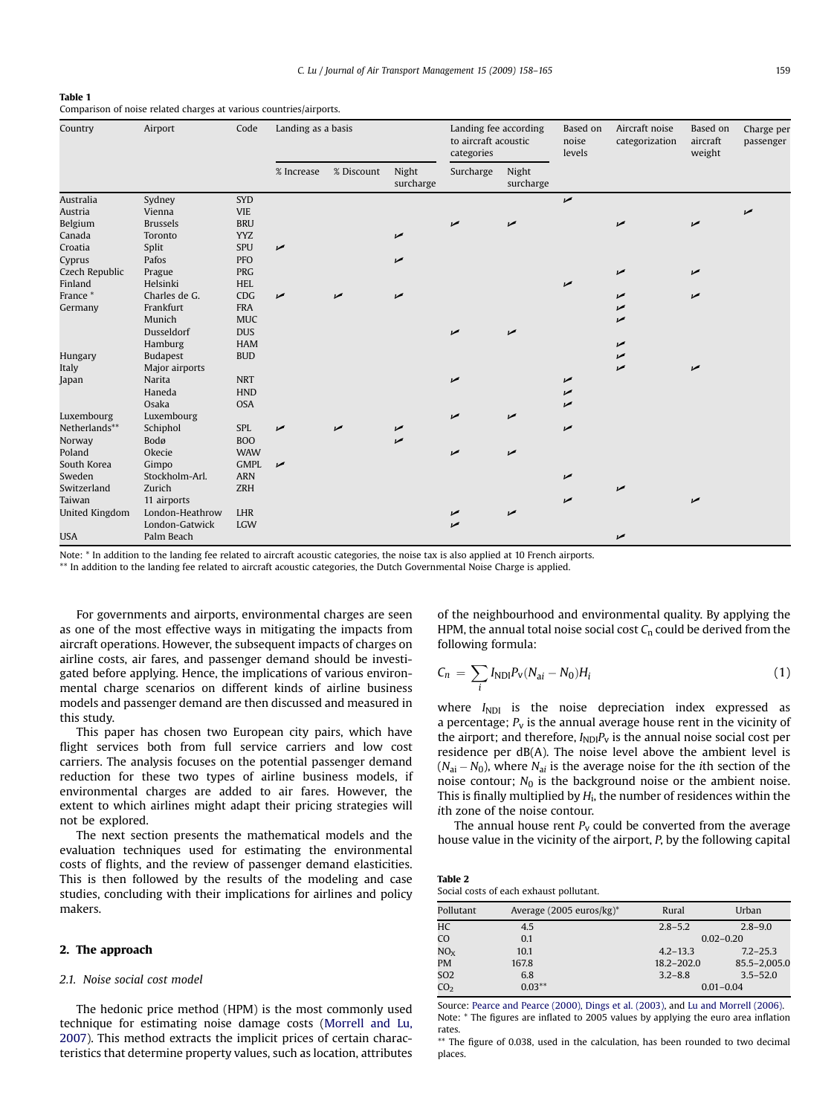#### <span id="page-1-0"></span>Table 1

Comparison of noise related charges at various countries/airports.

| Country               | Airport         | Code        | Landing as a basis |            |                    | Landing fee according<br>to aircraft acoustic<br>categories |                    | Based on<br>noise<br>levels | Aircraft noise<br>categorization | Based on<br>aircraft<br>weight | Charge per<br>passenger |
|-----------------------|-----------------|-------------|--------------------|------------|--------------------|-------------------------------------------------------------|--------------------|-----------------------------|----------------------------------|--------------------------------|-------------------------|
|                       |                 |             | % Increase         | % Discount | Night<br>surcharge | Surcharge                                                   | Night<br>surcharge |                             |                                  |                                |                         |
| Australia             | Sydney          | <b>SYD</b>  |                    |            |                    |                                                             |                    | $\overline{v}$              |                                  |                                |                         |
| Austria               | Vienna          | <b>VIE</b>  |                    |            |                    |                                                             |                    |                             |                                  |                                |                         |
| Belgium               | <b>Brussels</b> | <b>BRU</b>  |                    |            |                    | مما                                                         | مما                |                             |                                  | مما                            |                         |
| Canada                | Toronto         | <b>YYZ</b>  |                    |            | مما                |                                                             |                    |                             |                                  |                                |                         |
| Croatia               | Split           | <b>SPU</b>  | ✔                  |            |                    |                                                             |                    |                             |                                  |                                |                         |
| Cyprus                | Pafos           | PFO         |                    |            | ✔                  |                                                             |                    |                             |                                  |                                |                         |
| Czech Republic        | Prague          | PRG         |                    |            |                    |                                                             |                    |                             | مما                              | مما                            |                         |
| Finland               | Helsinki        | <b>HEL</b>  |                    |            |                    |                                                             |                    | مما                         |                                  |                                |                         |
| France*               | Charles de G.   | CDG         | مما                | مما        | ✔                  |                                                             |                    |                             | مما                              | مما                            |                         |
| Germany               | Frankfurt       | <b>FRA</b>  |                    |            |                    |                                                             |                    |                             | مما                              |                                |                         |
|                       | Munich          | <b>MUC</b>  |                    |            |                    |                                                             |                    |                             | مما                              |                                |                         |
|                       | Dusseldorf      | <b>DUS</b>  |                    |            |                    | مما                                                         | مما                |                             |                                  |                                |                         |
|                       | Hamburg         | <b>HAM</b>  |                    |            |                    |                                                             |                    |                             | مما                              |                                |                         |
| Hungary               | <b>Budapest</b> | <b>BUD</b>  |                    |            |                    |                                                             |                    |                             | مما                              |                                |                         |
| Italy                 | Major airports  |             |                    |            |                    |                                                             |                    |                             | مما                              | مما                            |                         |
| Japan                 | Narita          | <b>NRT</b>  |                    |            |                    | مما                                                         |                    | مما                         |                                  |                                |                         |
|                       | Haneda          | <b>HND</b>  |                    |            |                    |                                                             |                    | مما                         |                                  |                                |                         |
|                       | Osaka           | <b>OSA</b>  |                    |            |                    |                                                             |                    | مما                         |                                  |                                |                         |
| Luxembourg            | Luxembourg      |             |                    |            |                    | مما                                                         | مما                |                             |                                  |                                |                         |
| Netherlands**         | Schiphol        | SPL         | مما                |            | ↙                  |                                                             |                    | مما                         |                                  |                                |                         |
| Norway                | Bodø            | <b>BOO</b>  |                    |            | مما                |                                                             |                    |                             |                                  |                                |                         |
| Poland                | Okecie          | <b>WAW</b>  |                    |            |                    | مما                                                         | مما                |                             |                                  |                                |                         |
| South Korea           | Gimpo           | <b>GMPL</b> | مما                |            |                    |                                                             |                    |                             |                                  |                                |                         |
| Sweden                | Stockholm-Arl.  | <b>ARN</b>  |                    |            |                    |                                                             |                    | ✔                           |                                  |                                |                         |
| Switzerland           | Zurich          | <b>ZRH</b>  |                    |            |                    |                                                             |                    |                             | مما                              |                                |                         |
| Taiwan                | 11 airports     |             |                    |            |                    |                                                             |                    | مما                         |                                  | مما                            |                         |
| <b>United Kingdom</b> | London-Heathrow | LHR         |                    |            |                    | مما                                                         | $\overline{v}$     |                             |                                  |                                |                         |
|                       | London-Gatwick  | <b>LGW</b>  |                    |            |                    | $\overline{v}$                                              |                    |                             |                                  |                                |                         |
| <b>USA</b>            | Palm Beach      |             |                    |            |                    |                                                             |                    |                             | مما                              |                                |                         |

Note: \* In addition to the landing fee related to aircraft acoustic categories, the noise tax is also applied at 10 French airports.

\*\* In addition to the landing fee related to aircraft acoustic categories, the Dutch Governmental Noise Charge is applied.

For governments and airports, environmental charges are seen as one of the most effective ways in mitigating the impacts from aircraft operations. However, the subsequent impacts of charges on airline costs, air fares, and passenger demand should be investigated before applying. Hence, the implications of various environmental charge scenarios on different kinds of airline business models and passenger demand are then discussed and measured in this study.

This paper has chosen two European city pairs, which have flight services both from full service carriers and low cost carriers. The analysis focuses on the potential passenger demand reduction for these two types of airline business models, if environmental charges are added to air fares. However, the extent to which airlines might adapt their pricing strategies will not be explored.

The next section presents the mathematical models and the evaluation techniques used for estimating the environmental costs of flights, and the review of passenger demand elasticities. This is then followed by the results of the modeling and case studies, concluding with their implications for airlines and policy makers.

#### 2. The approach

## 2.1. Noise social cost model

The hedonic price method (HPM) is the most commonly used technique for estimating noise damage costs ([Morrell and Lu,](#page--1-0) [2007\)](#page--1-0). This method extracts the implicit prices of certain characteristics that determine property values, such as location, attributes of the neighbourhood and environmental quality. By applying the HPM, the annual total noise social cost  $C_n$  could be derived from the following formula:

$$
C_n = \sum_i I_{NDI} P_v (N_{ai} - N_0) H_i
$$
\n(1)

where  $I_{NDI}$  is the noise depreciation index expressed as a percentage;  $P_v$  is the annual average house rent in the vicinity of the airport; and therefore,  $I_{ND}P_v$  is the annual noise social cost per residence per dB(A). The noise level above the ambient level is  $(N_{\rm ai}-N_0)$ , where  $N_{\rm ai}$  is the average noise for the ith section of the noise contour;  $N_0$  is the background noise or the ambient noise. This is finally multiplied by  $H<sub>i</sub>$ , the number of residences within the ith zone of the noise contour.

The annual house rent  $P_v$  could be converted from the average house value in the vicinity of the airport, P, by the following capital

| Table 2 |                                         |  |
|---------|-----------------------------------------|--|
|         | Social costs of each exhaust pollutant. |  |

| Pollutant       | Average $(2005 \text{ euros/kg})^*$ | Rural          | Urban        |  |
|-----------------|-------------------------------------|----------------|--------------|--|
| HC              | 4.5                                 | $2.8 - 5.2$    | $2.8 - 9.0$  |  |
| CO              | 0.1                                 | $0.02 - 0.20$  |              |  |
| NO <sub>x</sub> | 10.1                                | $4.2 - 13.3$   | $7.2 - 25.3$ |  |
| <b>PM</b>       | 167.8                               | $18.2 - 202.0$ | 85.5-2,005.0 |  |
| SO <sub>2</sub> | 6.8                                 | $3.2 - 8.8$    | $3.5 - 52.0$ |  |
| CO <sub>2</sub> | $0.03**$                            | $0.01 - 0.04$  |              |  |

Source: [Pearce and Pearce \(2000\), Dings et al. \(2003\),](#page--1-0) and [Lu and Morrell \(2006\).](#page--1-0) Note: \* The figures are inflated to 2005 values by applying the euro area inflation rates.

\*\* The figure of 0.038, used in the calculation, has been rounded to two decimal places